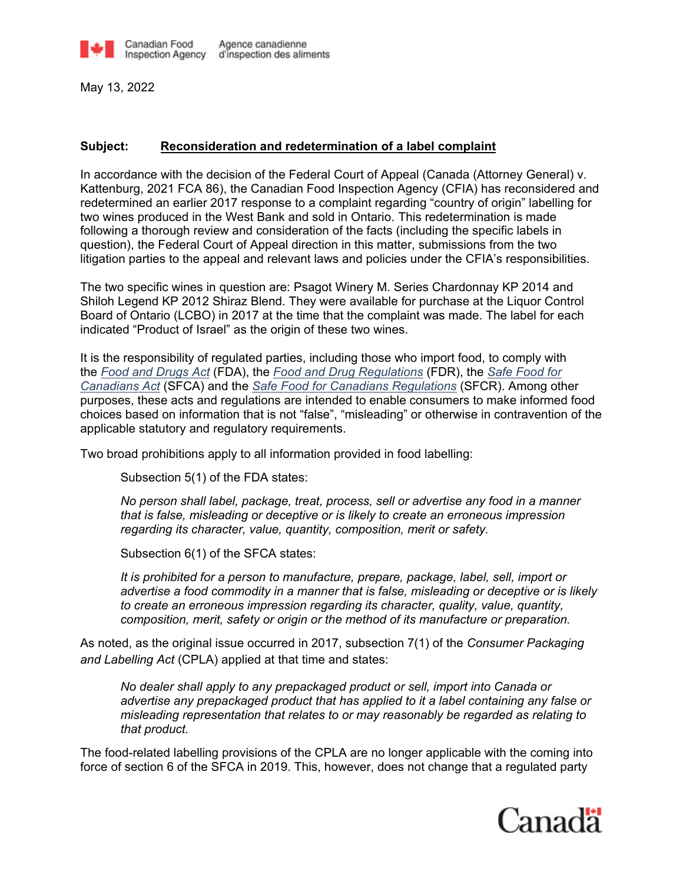

May 13, 2022

## **Subject: Reconsideration and redetermination of a label complaint**

In accordance with the decision of the Federal Court of Appeal (Canada (Attorney General) v. Kattenburg, 2021 FCA 86), the Canadian Food Inspection Agency (CFIA) has reconsidered and redetermined an earlier 2017 response to a complaint regarding "country of origin" labelling for two wines produced in the West Bank and sold in Ontario. This redetermination is made following a thorough review and consideration of the facts (including the specific labels in question), the Federal Court of Appeal direction in this matter, submissions from the two litigation parties to the appeal and relevant laws and policies under the CFIA's responsibilities.

The two specific wines in question are: Psagot Winery M. Series Chardonnay KP 2014 and Shiloh Legend KP 2012 Shiraz Blend. They were available for purchase at the Liquor Control Board of Ontario (LCBO) in 2017 at the time that the complaint was made. The label for each indicated "Product of Israel" as the origin of these two wines.

It is the responsibility of regulated parties, including those who import food, to comply with the *[Food and Drugs Act](https://inspection.canada.ca/english/reg/jredirect2.shtml?drga)* (FDA), the *[Food and Drug Regulations](https://inspection.canada.ca/english/reg/jredirect2.shtml?drgr)* (FDR), the *[Safe Food for](https://inspection.canada.ca/english/reg/jredirect2.shtml?safefood)  [Canadians Act](https://inspection.canada.ca/english/reg/jredirect2.shtml?safefood)* (SFCA) and the *[Safe Food for Canadians Regulations](https://inspection.canada.ca/english/reg/jredirect2.shtml?sfcrrsac)* (SFCR). Among other purposes, these acts and regulations are intended to enable consumers to make informed food choices based on information that is not "false", "misleading" or otherwise in contravention of the applicable statutory and regulatory requirements.

Two broad prohibitions apply to all information provided in food labelling:

Subsection 5(1) of the FDA states:

*No person shall label, package, treat, process, sell or advertise any food in a manner that is false, misleading or deceptive or is likely to create an erroneous impression regarding its character, value, quantity, composition, merit or safety.*

Subsection 6(1) of the SFCA states:

*It is prohibited for a person to manufacture, prepare, package, label, sell, import or advertise a food commodity in a manner that is false, misleading or deceptive or is likely to create an erroneous impression regarding its character, quality, value, quantity, composition, merit, safety or origin or the method of its manufacture or preparation.*

As noted, as the original issue occurred in 2017, subsection 7(1) of the *Consumer Packaging and Labelling Act* (CPLA) applied at that time and states:

*No dealer shall apply to any prepackaged product or sell, import into Canada or advertise any prepackaged product that has applied to it a label containing any false or misleading representation that relates to or may reasonably be regarded as relating to that product.*

The food-related labelling provisions of the CPLA are no longer applicable with the coming into force of section 6 of the SFCA in 2019. This, however, does not change that a regulated party

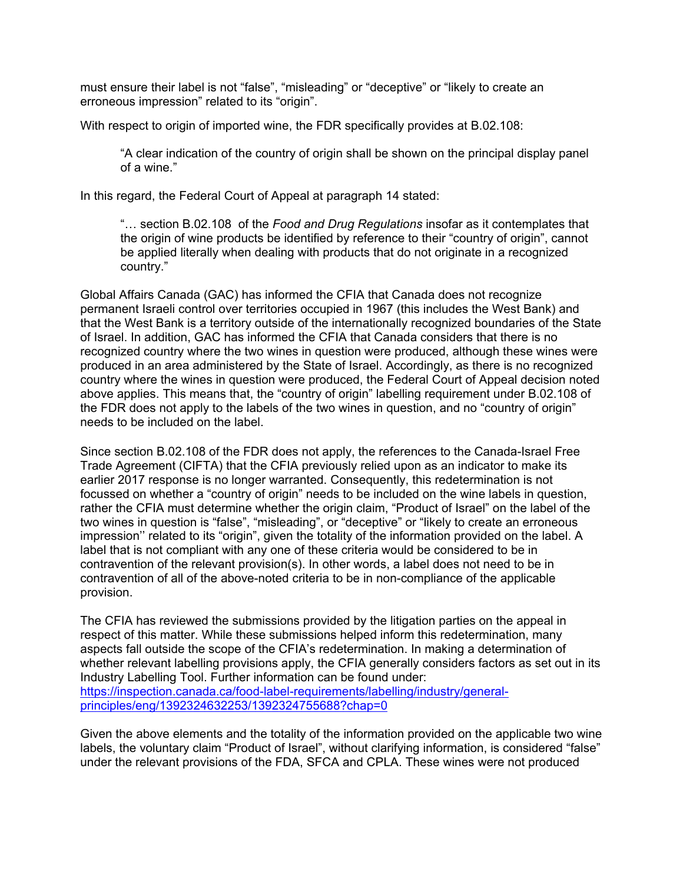must ensure their label is not "false", "misleading" or "deceptive" or "likely to create an erroneous impression" related to its "origin".

With respect to origin of imported wine, the FDR specifically provides at B.02.108:

"A clear indication of the country of origin shall be shown on the principal display panel of a wine."

In this regard, the Federal Court of Appeal at paragraph 14 stated:

"… section B.02.108 of the *Food and Drug Regulations* insofar as it contemplates that the origin of wine products be identified by reference to their "country of origin", cannot be applied literally when dealing with products that do not originate in a recognized country."

Global Affairs Canada (GAC) has informed the CFIA that Canada does not recognize permanent Israeli control over territories occupied in 1967 (this includes the West Bank) and that the West Bank is a territory outside of the internationally recognized boundaries of the State of Israel. In addition, GAC has informed the CFIA that Canada considers that there is no recognized country where the two wines in question were produced, although these wines were produced in an area administered by the State of Israel. Accordingly, as there is no recognized country where the wines in question were produced, the Federal Court of Appeal decision noted above applies. This means that, the "country of origin" labelling requirement under B.02.108 of the FDR does not apply to the labels of the two wines in question, and no "country of origin" needs to be included on the label.

Since section B.02.108 of the FDR does not apply, the references to the Canada-Israel Free Trade Agreement (CIFTA) that the CFIA previously relied upon as an indicator to make its earlier 2017 response is no longer warranted. Consequently, this redetermination is not focussed on whether a "country of origin" needs to be included on the wine labels in question, rather the CFIA must determine whether the origin claim, "Product of Israel" on the label of the two wines in question is "false", "misleading", or "deceptive" or "likely to create an erroneous impression'' related to its "origin", given the totality of the information provided on the label. A label that is not compliant with any one of these criteria would be considered to be in contravention of the relevant provision(s). In other words, a label does not need to be in contravention of all of the above-noted criteria to be in non-compliance of the applicable provision.

The CFIA has reviewed the submissions provided by the litigation parties on the appeal in respect of this matter. While these submissions helped inform this redetermination, many aspects fall outside the scope of the CFIA's redetermination. In making a determination of whether relevant labelling provisions apply, the CFIA generally considers factors as set out in its Industry Labelling Tool. Further information can be found under: [https://inspection.canada.ca/food-label-requirements/labelling/industry/general](https://inspection.canada.ca/food-label-requirements/labelling/industry/general-principles/eng/1392324632253/1392324755688?chap=0)[principles/eng/1392324632253/1392324755688?chap=0](https://inspection.canada.ca/food-label-requirements/labelling/industry/general-principles/eng/1392324632253/1392324755688?chap=0)

Given the above elements and the totality of the information provided on the applicable two wine labels, the voluntary claim "Product of Israel", without clarifying information, is considered "false" under the relevant provisions of the FDA, SFCA and CPLA. These wines were not produced